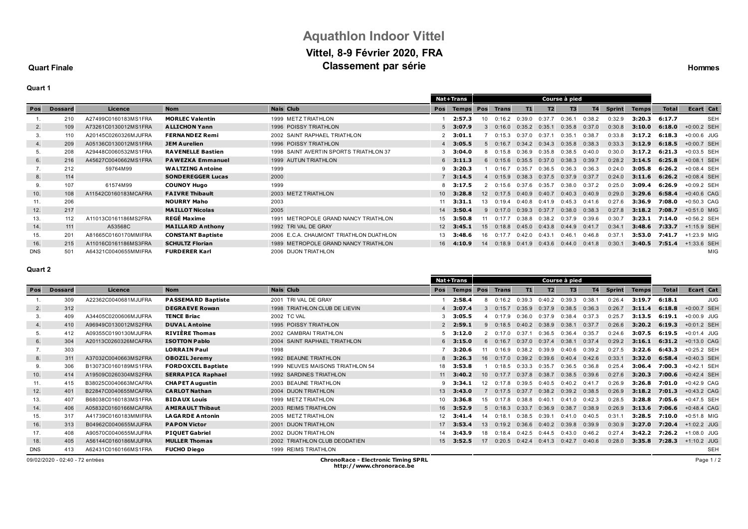# **Aquathlon Indoor Vittel Vittel, 8-9 Février 2020, FRA Classement par série Hommes Classement** par **série Hommes**

### **Quart Finale**

## **Quart 1**

|               |                |                      |                          |                                         |            | <b>Nat+Trans</b> | Course à pied   |                   |        |           |        |           |               |              |              |               |
|---------------|----------------|----------------------|--------------------------|-----------------------------------------|------------|------------------|-----------------|-------------------|--------|-----------|--------|-----------|---------------|--------------|--------------|---------------|
| <b>Pos</b>    | <b>Dossard</b> | Licence              | <b>Nom</b>               | <b>Nais Club</b>                        | <b>Pos</b> | <b>Temps Pos</b> |                 | <b>Trans</b>      | T1     | <b>T2</b> | T3     | <b>T4</b> | <b>Sprint</b> | <b>Temps</b> | <b>Total</b> | Ecart Cat     |
|               | 210            | A27499C0160183MS1FRA | <b>MORLEC Valentin</b>   | 1999 METZ TRIATHLON                     |            | 2:57.3           |                 |                   | 0:39.0 | 0:37.7    | 0:36.1 | 0:38.2    | 0:32.9        | 3:20.3       | 6:17.7       | <b>SEH</b>    |
| 2.            | 109            | A73261C0130012MS1FRA | <b>ALLICHON Yann</b>     | 1996 POISSY TRIATHLON                   |            | $5$ 3:07.9       |                 | 0.16 <sub>0</sub> | 0:35.2 | 0:35.1    | 0:35.8 | 0:37.0    | 0:30.8        | 3:10.0       | 6:18.0       | $+0:00.2$ SEH |
| 3.            | 110            | A20145C0260326MJUFRA | <b>FERNANDEZ Remi</b>    | 2002 SAINT RAPHAEL TRIATHLON            |            | 2, 3:01.1        |                 | 0:15.3            | 0:37.0 | 0:37      | 0:35.1 | 0:38.7    | 0:33.8        | 3:17.2       | 6:18.3       | $+0:00.6$ JUG |
| 4.            | 209            | A05136C0130012MS1FRA | <b>JEM Aurelien</b>      | 1996 POISSY TRIATHLON                   |            | 4 3:05.5         |                 |                   | 0:34.2 | 0:34.3    | 0:35.8 | 0:38.3    | 0:33.3        | 3:12.9       | 6:18.5       | +0:00.7 SEH   |
| 5.            | 208            | A29448C0060532MS1FRA | <b>RAVENELLE Bastien</b> | 1998 SAINT AVERTIN SPORTS TRIATHLON 37  |            | 3, 3:04.0        |                 | 0.158             | 0:36.9 | 0:35.8    | 0:38.5 | 0:40.0    | 0:30.0        | 3:17.2       | 6:21.3       | +0:03.5 SEH   |
| 6.            | 216            | A45627C0040662MS1FRA | <b>PAWEZKA Emmanuel</b>  | 1999 AUTUN TRIATHLON                    |            | $6\quad 3:11.3$  |                 | 0:15.6            | 0:35.5 | 0:37.0    | 0:38.3 | 0:39.7    | 0:28.2        | 3:14.5       | 6:25.8       | +0:08.1 SEH   |
| $\mathcal{L}$ | 212            | 59764M99             | <b>WALTZING Antoine</b>  | 1999                                    |            | 3:20.3           |                 | 0:16.7            | 0:35.7 | 0:36.5    | 0:36.3 | 0:36.3    | 0:24.0        | 3:05.8       | 6:26.2       | +0:08.4 SEH   |
| 8.            | 114            |                      | <b>SONDEREGGER Lucas</b> | 2000                                    |            | 73:14.5          |                 | 0:15.9            | 0:38.3 | 0:37.5    | 0:37.9 | 0:37.7    | 0:24.0        | 3:11.6       | 6:26.2       | +0:08.4 SEH   |
| 9.            | 107            | 61574M99             | <b>COUNOY Hugo</b>       | 1999                                    |            | 3:17.5           |                 | 0:15.6            | 0:37.6 | 0:35.7    | 0:38.0 | 0:37.2    | 0:25.0        | 3:09.4       | 6:26.9       | +0:09.2 SEH   |
| 10.           | 108            | A11542C0160183MCAFRA | <b>FAIVRE Thibault</b>   | 2003 METZ TRIATHLON                     |            | 10 3:28.8        | 12 <sup>2</sup> | 0:17.5            | 0:40.9 | 0:40.7    | 0:40.3 | 0:40.9    | 0:29.0        | 3:29.6       | 6:58.4       | $+0:40.6$ CAG |
| 11.           | 206            |                      | <b>NOURRY Maho</b>       | 2003                                    | 11         | 3:31.1           | 13              | 0.194             | 0:40.8 | 0:41.9    | 0:45.3 | 0:41.6    | 0:27.6        | 3:36.9       | 7:08.0       | $+0:50.3$ CAG |
| 12.           | 217            |                      | <b>MAILLOT Nicolas</b>   | 2005                                    |            | 14 3:50.4        |                 | 0:17.0            | 0:39.3 | 0:37.7    | 0:38.0 | 0:38.3    | 0:27.8        | 3:18.2       | 7:08.7       | +0:51.0 MIG   |
| 13.           | 112            | A11013C0161186MS2FRA | <b>REGÉ Maxime</b>       | 1991 METROPOLE GRAND NANCY TRIATHLON    | 15         | 3:50.8           |                 | 0.177             | 0:38.8 | 0:38.2    | 0:37.9 | 0:39.6    | 0:30.7        | 3:23.1       | 7:14.0       | $+0.56.2$ SEH |
| 14.           | 111            | A53568C              | <b>MAILLARD Anthony</b>  | 1992 TRI VAL DE GRAY                    |            | $12$ 3:45.1      | 15 <sup>1</sup> | 0:18.8            | 0:45.0 | 0:43.8    | 0:44.9 | 0:41.7    | 0:34.1        | 3:48.6       | 7:33.7       | $+1:15.9$ SEH |
| 15.           | 201            | A81665C0160170MMIFRA | <b>CONSTANT Baptiste</b> | 2006 E.C.A. CHAUMONT TRIATHLON DUATHLON | 13         | 3:48.6           | 16              | 0.177             | 0:42.0 | 0:43.1    | 0:46.1 | 0:46.8    | 0:37.1        | 3:53.0       | 7:41.7       | +1:23.9 MIG   |
| 16.           | 215            | A11016C0161186MS3FRA | <b>SCHULTZ Florian</b>   | 1989 METROPOLE GRAND NANCY TRIATHLON    | 16         | 4:10.9           | 14              | 0:18.9            | 0:41.9 | 0:43.6    | 0:44.0 | 0:41.8    | 0:30.1        | 3:40.5       | 7:51.4       | +1:33.6 SEH   |
| <b>DNS</b>    | 501            | A64321C0040655MMIFRA | <b>FURDERER Karl</b>     | 2006 DIJON TRIATHLON                    |            |                  |                 |                   |        |           |        |           |               |              |              | MIG           |

#### **Quart 2**

|            |                |                      |                           |                                  |                 | <b>Nat+Trans</b>  | Course à pied   |        |                   |                |                   |        |               |              |              |               |
|------------|----------------|----------------------|---------------------------|----------------------------------|-----------------|-------------------|-----------------|--------|-------------------|----------------|-------------------|--------|---------------|--------------|--------------|---------------|
| Pos        | <b>Dossard</b> | Licence              | <b>Nom</b>                | <b>Nais Club</b>                 | Pos             | <b>Temps Pos</b>  |                 | Trans  | T1                | T <sub>2</sub> | T3                | T4     | <b>Sprint</b> | <b>Temps</b> | <b>Total</b> | Ecart Cat     |
|            | 309            | A22362C0040681MJUFRA | <b>PASSEMARD Baptiste</b> | 2001 TRI VAL DE GRAY             |                 | 2:58.4            |                 | 0.162  | 0:39.3            | 0:40.2         | 0:39.3            | 0:38.1 | 0:26.4        | 3:19.7       | 6:18.1       | <b>JUG</b>    |
| 2.         | 312            |                      | <b>DEGRAEVE Rowan</b>     | 1998 TRIATHLON CLUB DE LIEVIN    |                 | 4 3:07.4          |                 | 0:15.7 | 0:35.9            | 0:37.9         | 0:38.5            | 0:36.3 | 0:26.7        | 3:11.4       | 6:18.8       | +0:00.7 SEH   |
| 3.         | 409            | A34405C0200606MJUFRA | <b>TENCE Briac</b>        | 2002 TC VAL                      |                 | 3, 3:05.5         |                 | 0.179  | 0:36.0            | 0:37.9         | 0:38.4            | 0:37.3 | 0:25.7        | 3:13.5       | 6:19.1       | +0:00.9 JUG   |
| 4.         | 410            | A96949C0130012MS2FRA | <b>DUVAL Antoine</b>      | 1995 POISSY TRIATHLON            |                 | 2, 2:59.1         |                 | 0.185  | 0:40.2            | 0:38.9         | 0:38.1            | 0:37.7 | 0:26.6        | 3:20.2       | 6:19.3       | +0:01.2 SEH   |
| 5.         | 412            | A09355C0190130MJUFRA | <b>RIVIÈRE Thomas</b>     | 2002 CAMBRAI TRIATHLON           |                 | 53:12.0           |                 | 0.170  | 0:37.1            | 0:36.5         | 0:36.4            | 0:35.7 | 0:24.6        | 3:07.5       | 6:19.5       | +0:01.4 JUG   |
| 6.         | 304            | A20113C0260326MCAFRA | <b>ISOTTON Pablo</b>      | 2004 SAINT RAPHAEL TRIATHLON     |                 | $6$ 3:15.0        |                 | 0:16.7 | 0:37.0            | 0:37.4         | 0:38.1            | 0:37.4 | 0:29.2        | 3:16.1       | 6:31.2       | $+0:13.0$ CAG |
| 7.         | 303            |                      | <b>LORRAIN Paul</b>       | 1998                             |                 | 3:20.6            |                 | 0.169  | 0:38.2            | 0:39.9         | 0:40.6            | 0:39.2 | 0:27.5        | 3:22.6       | 6:43.3       | +0:25.2 SEH   |
| 8.         | 311            | A37032C0040663MS2FRA | <b>OBOZIL Jeremy</b>      | 1992 BEAUNE TRIATHLON            |                 | $8$ 3:26.3        | 16              | 0:17.0 | 0:39.2            | 0:39.6         | 0:40.4            | 0:42.6 | 0:33.1        | 3:32.0       | 6:58.4       | $+0:40.3$ SEH |
| 9.         | 306            | B13073C0160189MS1FRA | <b>FORDOXCEL Baptiste</b> | 1999 NEUVES MAISONS TRIATHLON 54 | 18              | 3:53.8            |                 | 0:18.5 | 0:33.3            | 0:35.7         | 0:36.5            | 0:36.8 | 0:25.4        | 3:06.4       | 7:00.3       | +0:42.1 SEH   |
| 10.        | 414            | A19509C0260304MS2FRA | <b>SERRAPICA Raphael</b>  | 1992 SARDINES TRIATHLON          |                 | $11 \quad 3:40.2$ | 10 <sup>1</sup> | 0:17.7 | 0:37.8            | 0:38.7         | 0:38.5            | 0:39.6 | 0:27.6        | 3:20.3       | 7:00.6       | $+0:42.4$ SEH |
| 11.        | 415            | B38025C0040663MCAFRA | <b>CHAPET Augustin</b>    | 2003 BEAUNE TRIATHLON            |                 | $9$ 3:34.1        | 12 <sup>1</sup> | 0.17R  | 0:39.5            | 0:40.5         | 0:40.2            | 0:41.7 | 0:26.9        | 3:26.8       | 7:01.0       | +0:42.9 CAG   |
| 12.        | 401            | B22847C0040655MCAFRA | <b>CARLOT Nathan</b>      | 2004 DIJON TRIATHLON             | 13              | 3:43.0            |                 | 0:17.5 | 0:37.7            | 0:38.2         | $0:39.2$ $0:38.5$ |        | 0:26.9        | 3:18.2       | 7:01.3       | $+0:43.2$ CAG |
| 13.        | 407            | B68038C0160183MS1FRA | <b>BIDAUX Louis</b>       | 1999 METZ TRIATHLON              | 10 <sup>1</sup> | 3:36.8            | $15 -$          | 0.178  | 0:38.8            | 0:40.1         | 0:41.0            | 0:42.3 | 0:28.5        | 3:28.8       | 7:05.6       | +0:47.5 SEH   |
| 14.        | 406            | A05832C0160166MCAFRA | <b>AMIRAULT Thibaut</b>   | 2003 REIMS TRIATHLON             | 16              | 3:52.9            |                 | 0:18.3 | 0:33.7            | 0:36.9         | 0:38.7            | 0:38.9 | 0:26.9        | 3:13.6       | 7:06.6       | +0:48.4 CAG   |
| 15.        | 317            | A41739C0160183MMIFRA | <b>LAGARDE Antonin</b>    | 2005 METZ TRIATHLON              | 12              | 3:41.4            | 14              | 0.181  | 0:38.5            | 0:39.1         | 0:41.0            | 0:40.5 | 0:31.         | 3:28.5       | 7:10.0       | +0:51.8 MIG   |
| 16.        | 313            | B04962C0040655MJUFRA | <b>PAPON Victor</b>       | 2001 DIJON TRIATHLON             | 17              | 3:53.4            | 13 <sup>1</sup> | 0:19.2 | 0:36.6            | 0:40.2         | 0:39.8            | 0:39.9 | 0:30.9        | 3:27.0       | 7:20.4       | +1:02.2 JUG   |
| 17.        | 408            | A90570C0040655MJUFRA | <b>PIQUET Gabriel</b>     | 2002 DIJON TRIATHLON             | 14              | 3:43.9            | 18              | 0.184  | 0:42.5            | 0:44.5         | 0:43.0            | 0:46.2 | 0:27.4        | 3:42.2       | 7:26.2       | +1:08.0 JUG   |
| 18.        | 405            | A56144C0160186MJUFRA | <b>MULLER Thomas</b>      | 2002 TRIATHLON CLUB DEODATIEN    |                 | 15 3:52.5         | 17              |        | $0:20.5$ $0:42.4$ |                | $0:41.3$ $0:42.7$ | 0:40.6 | 0:28.0        | 3:35.8       | 7:28.3       | +1:10.2 JUG   |
| <b>DNS</b> | 413            | A62431C0160166MS1FRA | <b>FUCHO Diego</b>        | 1999 REIMS TRIATHLON             |                 |                   |                 |        |                   |                |                   |        |               |              |              | <b>SEH</b>    |

--

09/02/2020 - 02:40 - 72 entrées **ChronoRace - Electronic Timing SPRL**

**http://www.chronorace.be**